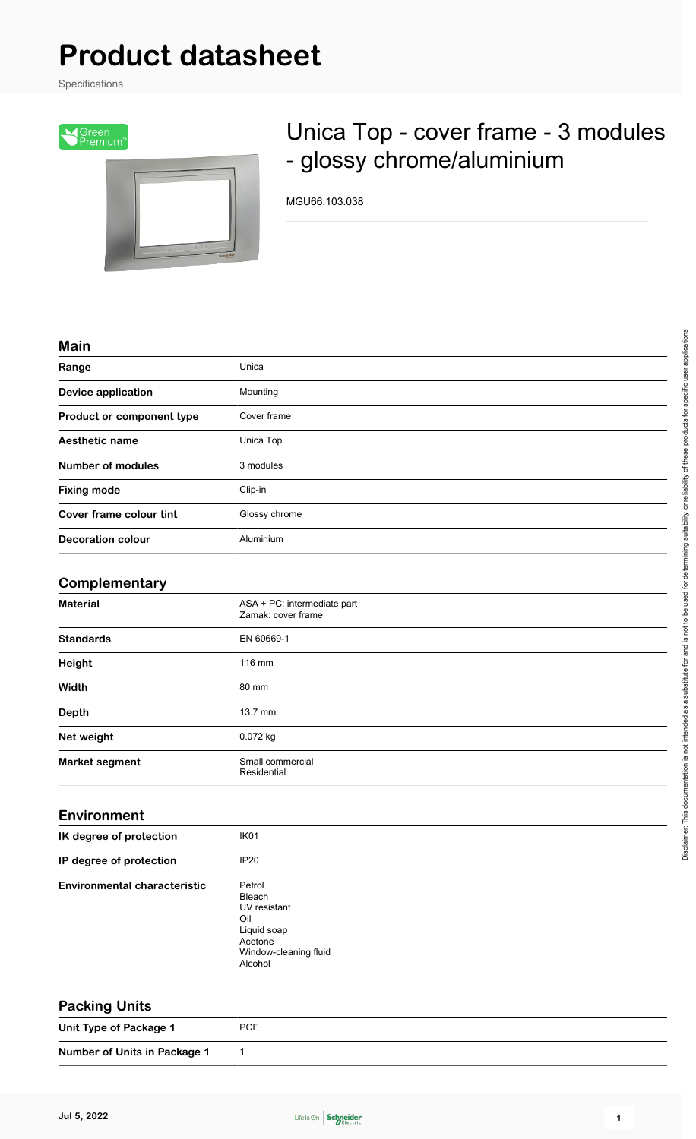# **Product datasheet**

Specifications



# Unica Top - cover frame - 3 modules - glossy chrome/aluminium

MGU66.103.038

#### **Main**

| Range                     | Unica         |
|---------------------------|---------------|
| <b>Device application</b> | Mounting      |
| Product or component type | Cover frame   |
| Aesthetic name            | Unica Top     |
| <b>Number of modules</b>  | 3 modules     |
| <b>Fixing mode</b>        | Clip-in       |
| Cover frame colour tint   | Glossy chrome |
| <b>Decoration colour</b>  | Aluminium     |

# **Complementary**

| <b>Material</b>       | ASA + PC: intermediate part<br>Zamak: cover frame |  |
|-----------------------|---------------------------------------------------|--|
| <b>Standards</b>      | EN 60669-1                                        |  |
| Height                | 116 mm                                            |  |
| Width                 | 80 mm                                             |  |
| <b>Depth</b>          | $13.7$ mm                                         |  |
| Net weight            | $0.072$ kg                                        |  |
| <b>Market segment</b> | Small commercial<br>Residential                   |  |

## **Environment**

| IK degree of protection             | IK <sub>01</sub>                                                                                      |
|-------------------------------------|-------------------------------------------------------------------------------------------------------|
| IP degree of protection             | IP20                                                                                                  |
| <b>Environmental characteristic</b> | Petrol<br>Bleach<br>UV resistant<br>Oil<br>Liquid soap<br>Acetone<br>Window-cleaning fluid<br>Alcohol |

### **Packing Units**

**Unit Type of Package 1** PCE

**Number of Units in Package 1** 1



Disclaimer: This documentation is not intended as a substitute for and is not to be used for determining suitability or reliability of these products for specific user applications

Disclaimer. This documentation is not intended as a substitute for and is not to be used for determining suitability or reliability of these products for specific user applications